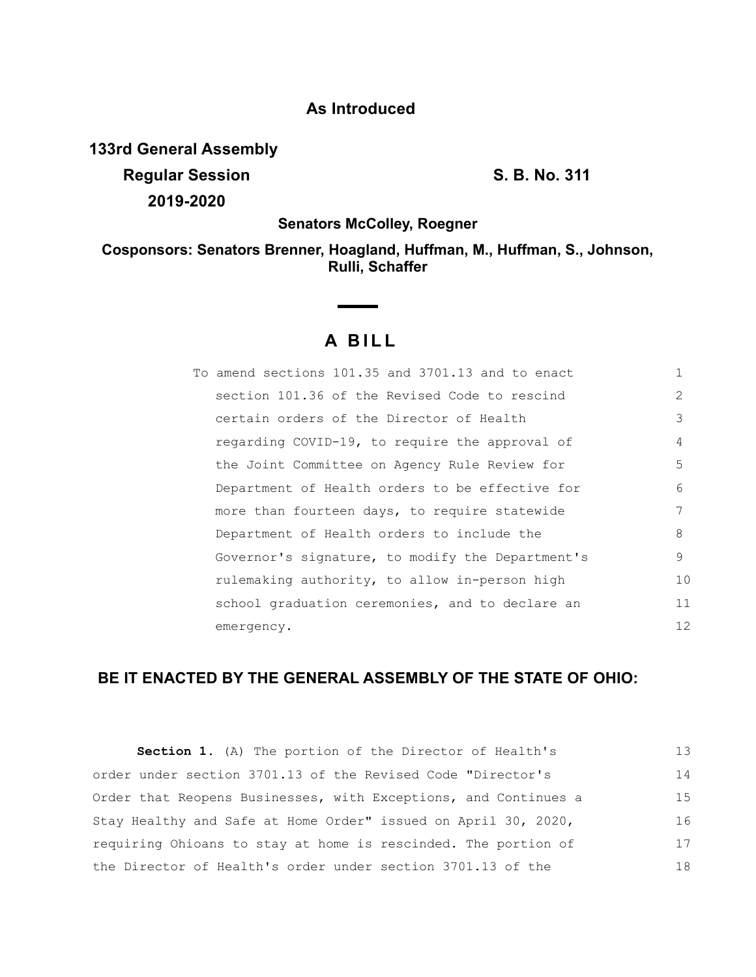## **As Introduced**

**133rd General Assembly**

**Regular Session S. B. No. 311 2019-2020**

**Senators McColley, Roegner**

**Cosponsors: Senators Brenner, Hoagland, Huffman, M., Huffman, S., Johnson, Rulli, Schaffer**

# **A B I L L**

| To amend sections 101.35 and 3701.13 and to enact |               |
|---------------------------------------------------|---------------|
| section 101.36 of the Revised Code to rescind     | $\mathcal{P}$ |
| certain orders of the Director of Health          | 3             |
| regarding COVID-19, to require the approval of    | 4             |
| the Joint Committee on Agency Rule Review for     | 5             |
| Department of Health orders to be effective for   | 6             |
| more than fourteen days, to require statewide     | 7             |
| Department of Health orders to include the        | 8             |
| Governor's signature, to modify the Department's  | 9             |
| rulemaking authority, to allow in-person high     | 10            |
| school graduation ceremonies, and to declare an   | 11            |
| emergency.                                        | 12            |

## **BE IT ENACTED BY THE GENERAL ASSEMBLY OF THE STATE OF OHIO:**

| <b>Section 1.</b> (A) The portion of the Director of Health's   | 13 |
|-----------------------------------------------------------------|----|
| order under section 3701.13 of the Revised Code "Director's     | 14 |
| Order that Reopens Businesses, with Exceptions, and Continues a | 15 |
| Stay Healthy and Safe at Home Order" issued on April 30, 2020,  | 16 |
| requiring Ohioans to stay at home is rescinded. The portion of  | 17 |
| the Director of Health's order under section 3701.13 of the     | 18 |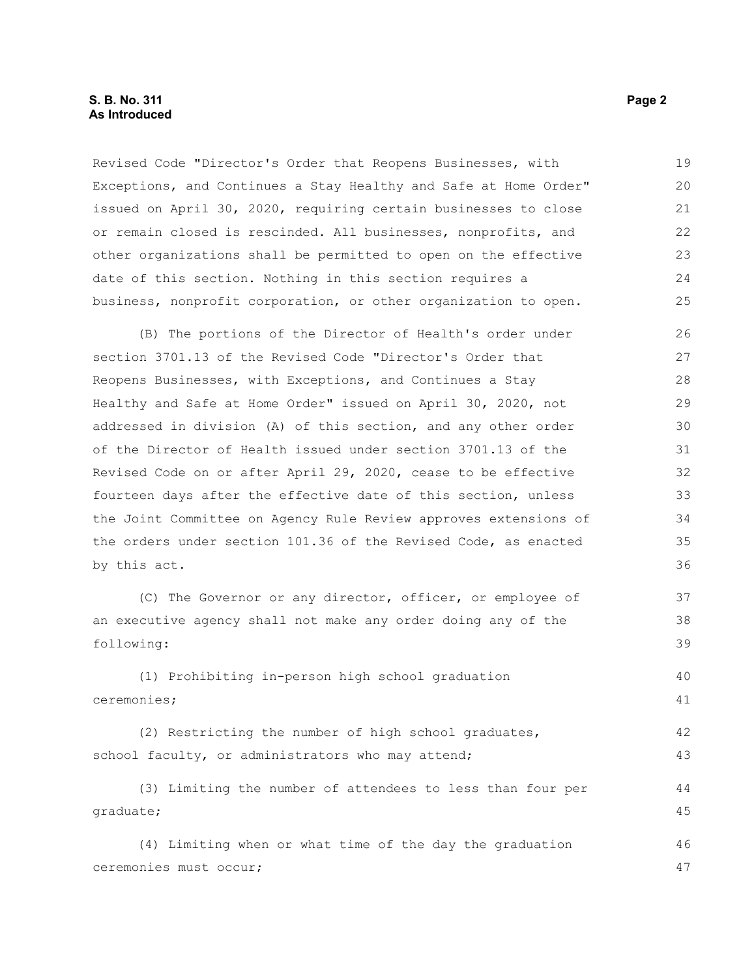Revised Code "Director's Order that Reopens Businesses, with Exceptions, and Continues a Stay Healthy and Safe at Home Order" issued on April 30, 2020, requiring certain businesses to close or remain closed is rescinded. All businesses, nonprofits, and other organizations shall be permitted to open on the effective date of this section. Nothing in this section requires a business, nonprofit corporation, or other organization to open. 19 20 21 22 23 24 25

(B) The portions of the Director of Health's order under section 3701.13 of the Revised Code "Director's Order that Reopens Businesses, with Exceptions, and Continues a Stay Healthy and Safe at Home Order" issued on April 30, 2020, not addressed in division (A) of this section, and any other order of the Director of Health issued under section 3701.13 of the Revised Code on or after April 29, 2020, cease to be effective fourteen days after the effective date of this section, unless the Joint Committee on Agency Rule Review approves extensions of the orders under section 101.36 of the Revised Code, as enacted by this act. 26 27 28 29 30 31 32 33 34 35 36

(C) The Governor or any director, officer, or employee of an executive agency shall not make any order doing any of the following: 37 38 39

(1) Prohibiting in-person high school graduation ceremonies; 40 41

(2) Restricting the number of high school graduates, school faculty, or administrators who may attend; 42 43

(3) Limiting the number of attendees to less than four per graduate;

(4) Limiting when or what time of the day the graduation ceremonies must occur; 46 47

44 45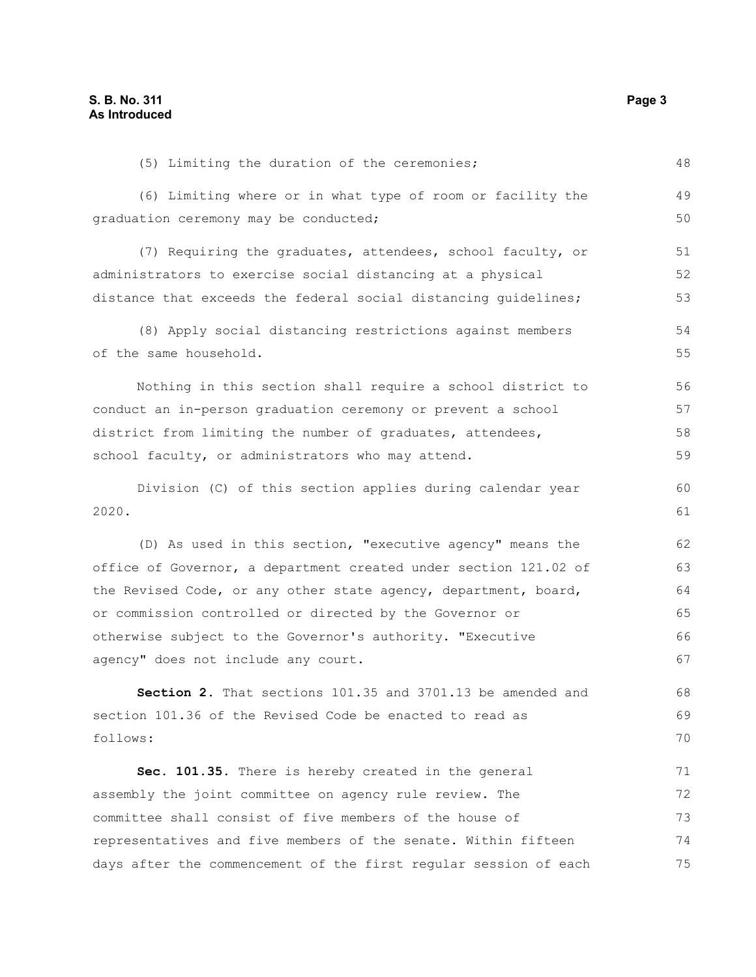(5) Limiting the duration of the ceremonies; (6) Limiting where or in what type of room or facility the graduation ceremony may be conducted; (7) Requiring the graduates, attendees, school faculty, or administrators to exercise social distancing at a physical distance that exceeds the federal social distancing guidelines; (8) Apply social distancing restrictions against members of the same household. Nothing in this section shall require a school district to conduct an in-person graduation ceremony or prevent a school district from limiting the number of graduates, attendees, school faculty, or administrators who may attend. Division (C) of this section applies during calendar year 2020. (D) As used in this section, "executive agency" means the office of Governor, a department created under section 121.02 of the Revised Code, or any other state agency, department, board, or commission controlled or directed by the Governor or otherwise subject to the Governor's authority. "Executive agency" does not include any court. **Section 2.** That sections 101.35 and 3701.13 be amended and section 101.36 of the Revised Code be enacted to read as follows: **Sec. 101.35.** There is hereby created in the general assembly the joint committee on agency rule review. The committee shall consist of five members of the house of representatives and five members of the senate. Within fifteen 48 49 50 51 52 53 54 55 56 57 58 59 60 61 62 63 64 65 66 67 68 69 70 71 72 73 74

days after the commencement of the first regular session of each

75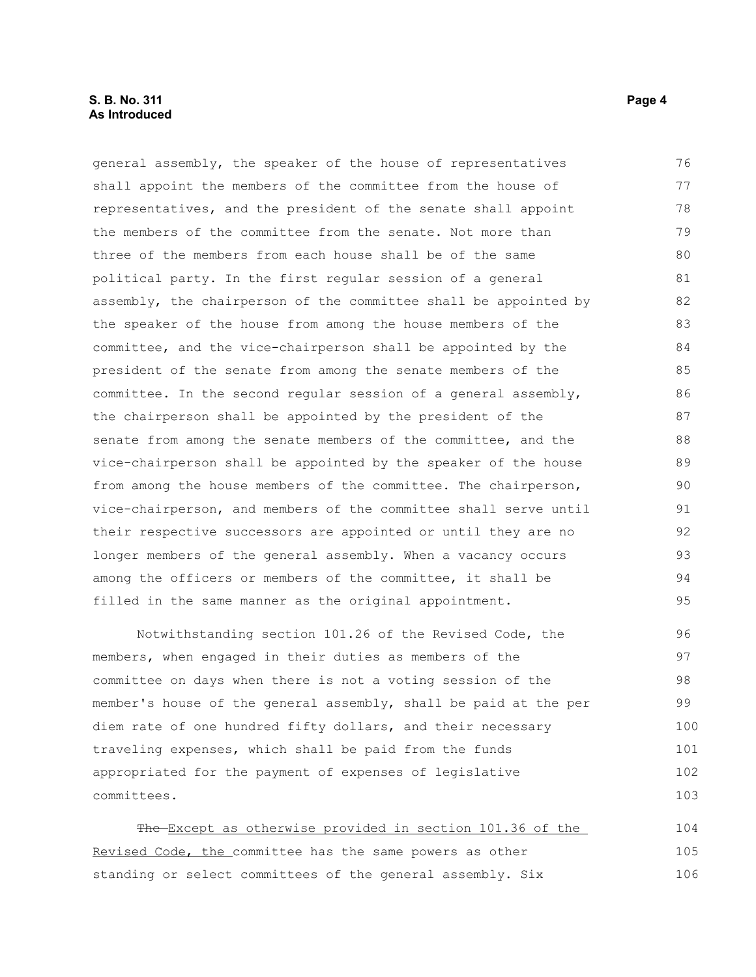#### **S. B. No. 311 Page 4 As Introduced**

general assembly, the speaker of the house of representatives shall appoint the members of the committee from the house of representatives, and the president of the senate shall appoint the members of the committee from the senate. Not more than three of the members from each house shall be of the same political party. In the first regular session of a general assembly, the chairperson of the committee shall be appointed by the speaker of the house from among the house members of the committee, and the vice-chairperson shall be appointed by the president of the senate from among the senate members of the committee. In the second regular session of a general assembly, the chairperson shall be appointed by the president of the senate from among the senate members of the committee, and the vice-chairperson shall be appointed by the speaker of the house from among the house members of the committee. The chairperson, vice-chairperson, and members of the committee shall serve until their respective successors are appointed or until they are no longer members of the general assembly. When a vacancy occurs among the officers or members of the committee, it shall be filled in the same manner as the original appointment. 76 77 78 79 80 81 82 83 84 85 86 87 88 89  $90$ 91 92 93 94 95

Notwithstanding section 101.26 of the Revised Code, the members, when engaged in their duties as members of the committee on days when there is not a voting session of the member's house of the general assembly, shall be paid at the per diem rate of one hundred fifty dollars, and their necessary traveling expenses, which shall be paid from the funds appropriated for the payment of expenses of legislative committees. 96 97 98 99 100 101 102 103

The Except as otherwise provided in section 101.36 of the Revised Code, the committee has the same powers as other standing or select committees of the general assembly. Six 104 105 106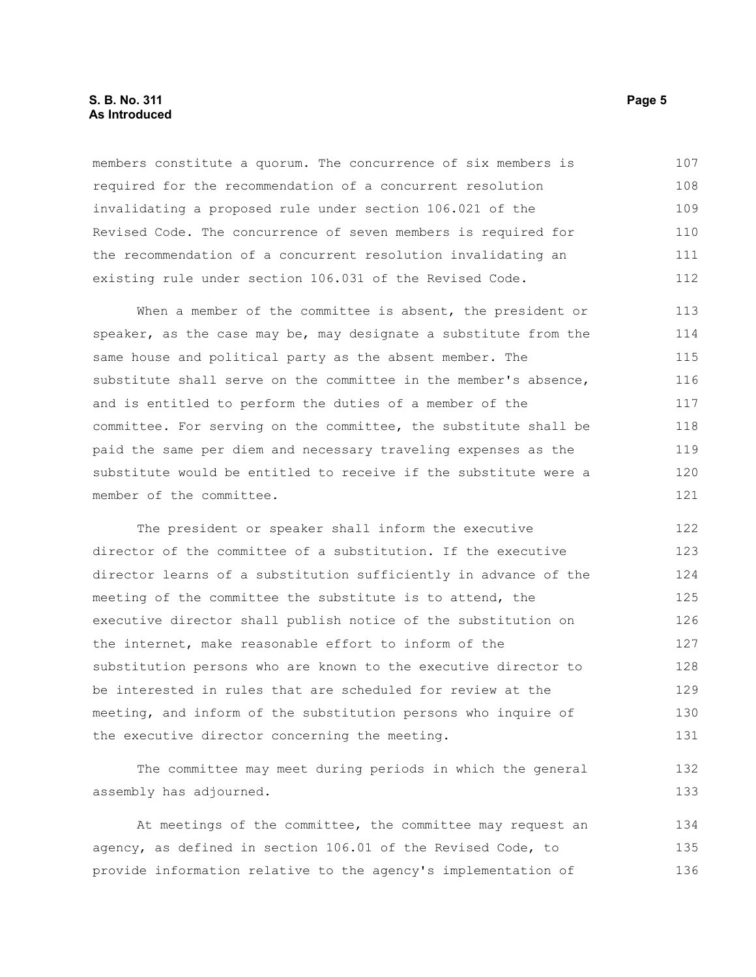#### **S. B. No. 311 Page 5 As Introduced**

members constitute a quorum. The concurrence of six members is required for the recommendation of a concurrent resolution invalidating a proposed rule under section 106.021 of the Revised Code. The concurrence of seven members is required for the recommendation of a concurrent resolution invalidating an existing rule under section 106.031 of the Revised Code. 107 108 109 110 111 112

When a member of the committee is absent, the president or speaker, as the case may be, may designate a substitute from the same house and political party as the absent member. The substitute shall serve on the committee in the member's absence, and is entitled to perform the duties of a member of the committee. For serving on the committee, the substitute shall be paid the same per diem and necessary traveling expenses as the substitute would be entitled to receive if the substitute were a member of the committee. 113 114 115 116 117 118 119 120 121

The president or speaker shall inform the executive director of the committee of a substitution. If the executive director learns of a substitution sufficiently in advance of the meeting of the committee the substitute is to attend, the executive director shall publish notice of the substitution on the internet, make reasonable effort to inform of the substitution persons who are known to the executive director to be interested in rules that are scheduled for review at the meeting, and inform of the substitution persons who inquire of the executive director concerning the meeting. 122 123 124 125 126 127 128 129 130 131

The committee may meet during periods in which the general assembly has adjourned. 132 133

At meetings of the committee, the committee may request an agency, as defined in section 106.01 of the Revised Code, to provide information relative to the agency's implementation of 134 135 136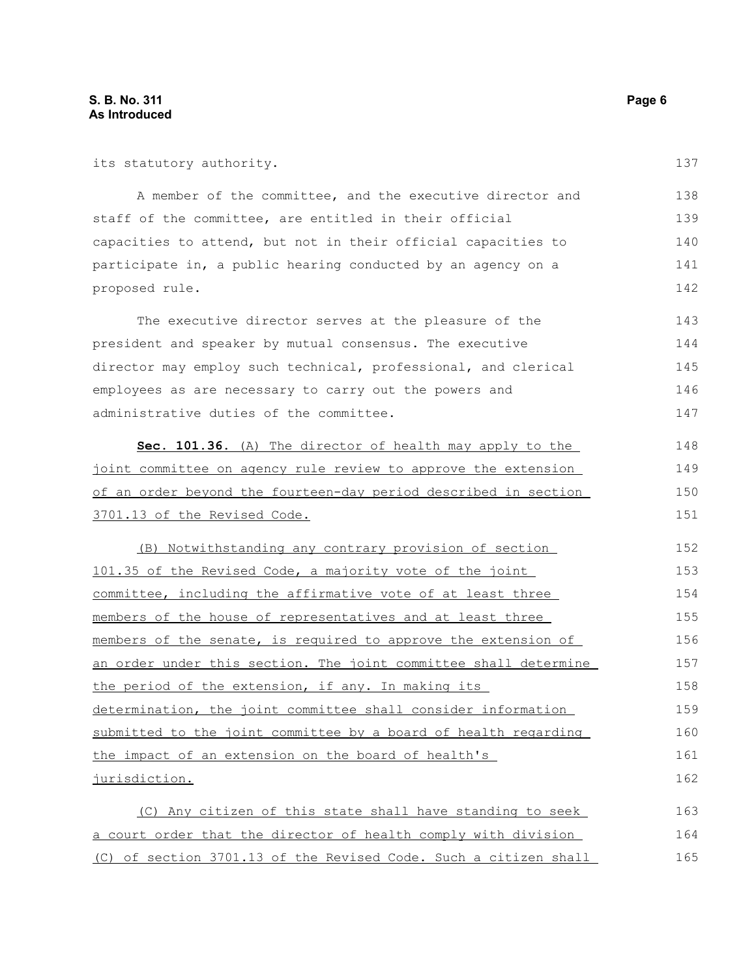| its statutory authority.                                         | 137 |
|------------------------------------------------------------------|-----|
| A member of the committee, and the executive director and        | 138 |
| staff of the committee, are entitled in their official           | 139 |
| capacities to attend, but not in their official capacities to    | 140 |
| participate in, a public hearing conducted by an agency on a     | 141 |
| proposed rule.                                                   | 142 |
| The executive director serves at the pleasure of the             | 143 |
| president and speaker by mutual consensus. The executive         | 144 |
| director may employ such technical, professional, and clerical   | 145 |
| employees as are necessary to carry out the powers and           | 146 |
| administrative duties of the committee.                          | 147 |
| Sec. 101.36. (A) The director of health may apply to the         | 148 |
| joint committee on agency rule review to approve the extension   | 149 |
| of an order beyond the fourteen-day period described in section  |     |
| 3701.13 of the Revised Code.                                     | 151 |
| (B) Notwithstanding any contrary provision of section            | 152 |
| 101.35 of the Revised Code, a majority vote of the joint         | 153 |
| committee, including the affirmative vote of at least three      | 154 |
| members of the house of representatives and at least three       | 155 |
| members of the senate, is required to approve the extension of   | 156 |
| an order under this section. The joint committee shall determine | 157 |
| the period of the extension, if any. In making its               | 158 |
| determination, the joint committee shall consider information    | 159 |
| submitted to the joint committee by a board of health regarding  | 160 |
| the impact of an extension on the board of health's              | 161 |
| jurisdiction.                                                    | 162 |
| (C) Any citizen of this state shall have standing to seek        | 163 |
| a court order that the director of health comply with division   | 164 |
| (C) of section 3701.13 of the Revised Code. Such a citizen shall | 165 |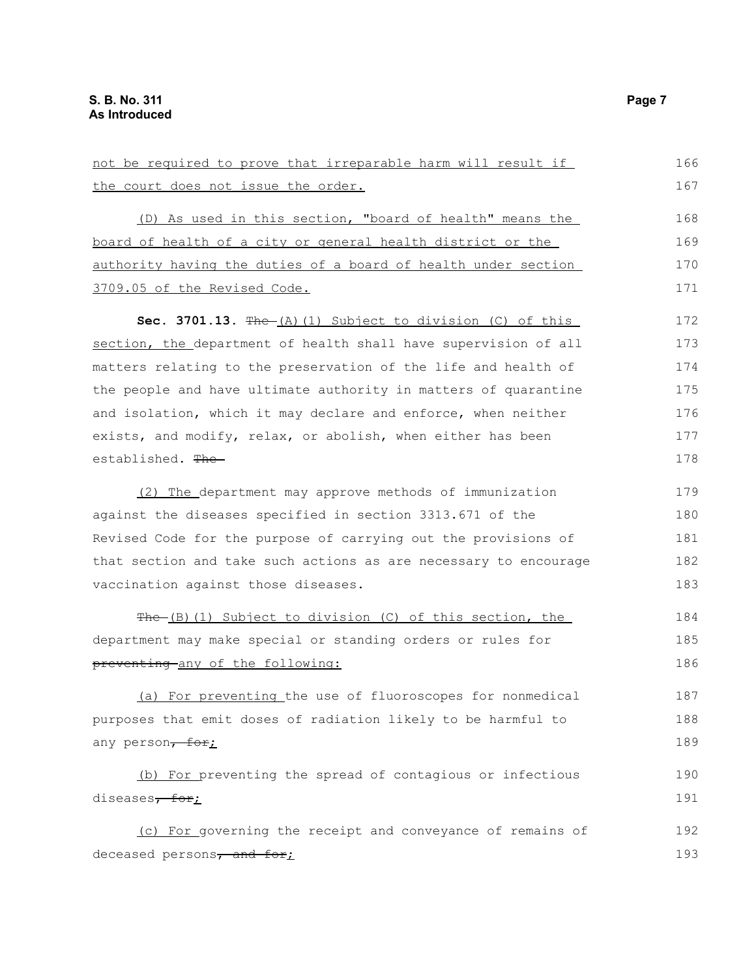| not be required to prove that irreparable harm will result if    |     |
|------------------------------------------------------------------|-----|
| the court does not issue the order.                              |     |
| (D) As used in this section, "board of health" means the         | 168 |
| board of health of a city or general health district or the      | 169 |
| authority having the duties of a board of health under section   | 170 |
| 3709.05 of the Revised Code.                                     | 171 |
| Sec. 3701.13. $f{He-(A)(1)}$ Subject to division (C) of this     | 172 |
| section, the department of health shall have supervision of all  | 173 |
| matters relating to the preservation of the life and health of   | 174 |
| the people and have ultimate authority in matters of quarantine  | 175 |
| and isolation, which it may declare and enforce, when neither    | 176 |
| exists, and modify, relax, or abolish, when either has been      | 177 |
| established. The                                                 | 178 |
| (2) The department may approve methods of immunization           | 179 |
| against the diseases specified in section 3313.671 of the        | 180 |
| Revised Code for the purpose of carrying out the provisions of   | 181 |
| that section and take such actions as are necessary to encourage | 182 |
| vaccination against those diseases.                              | 183 |
| The (B)(1) Subject to division (C) of this section, the          | 184 |
| department may make special or standing orders or rules for      | 185 |
| preventing any of the following:                                 | 186 |
| (a) For preventing the use of fluoroscopes for nonmedical        | 187 |
| purposes that emit doses of radiation likely to be harmful to    | 188 |
| any person, for;                                                 | 189 |
| (b) For preventing the spread of contagious or infectious        | 190 |
| diseases <del>, for</del> ;                                      | 191 |
| (c) For governing the receipt and conveyance of remains of       | 192 |
| deceased persons, and for;                                       | 193 |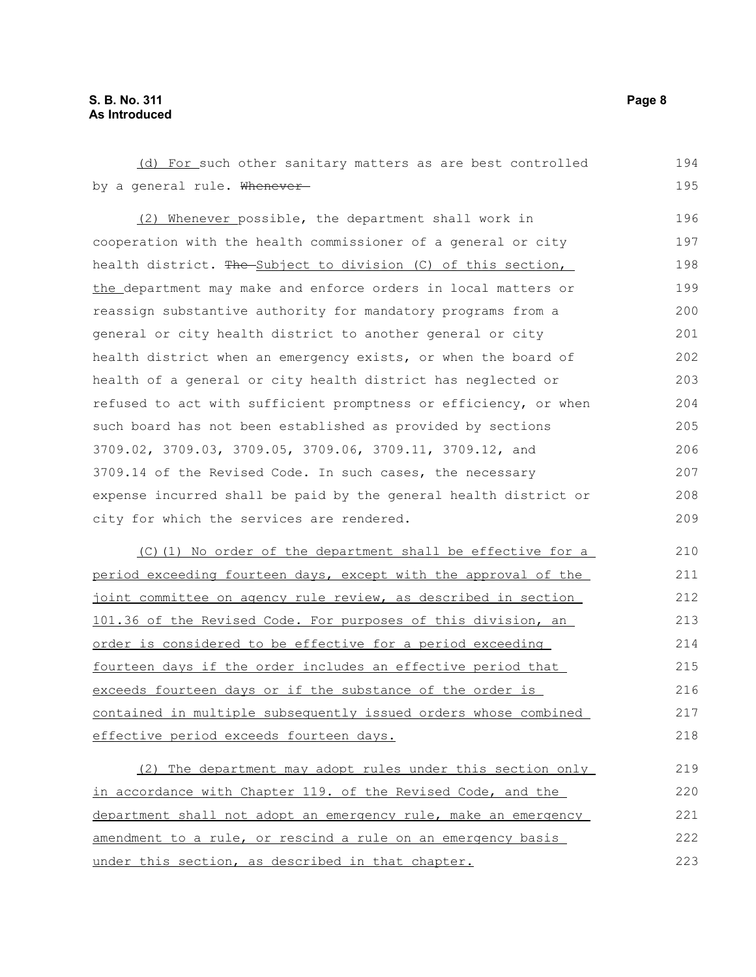#### **S. B. No. 311 Page 8 As Introduced**

(d) For such other sanitary matters as are best controlled by a general rule. Whenever-(2) Whenever possible, the department shall work in cooperation with the health commissioner of a general or city health district. The Subject to division (C) of this section, the department may make and enforce orders in local matters or reassign substantive authority for mandatory programs from a general or city health district to another general or city health district when an emergency exists, or when the board of health of a general or city health district has neglected or refused to act with sufficient promptness or efficiency, or when such board has not been established as provided by sections 3709.02, 3709.03, 3709.05, 3709.06, 3709.11, 3709.12, and 3709.14 of the Revised Code. In such cases, the necessary expense incurred shall be paid by the general health district or city for which the services are rendered. (C)(1) No order of the department shall be effective for a period exceeding fourteen days, except with the approval of the joint committee on agency rule review, as described in section 101.36 of the Revised Code. For purposes of this division, an order is considered to be effective for a period exceeding fourteen days if the order includes an effective period that exceeds fourteen days or if the substance of the order is contained in multiple subsequently issued orders whose combined effective period exceeds fourteen days. (2) The department may adopt rules under this section only in accordance with Chapter 119. of the Revised Code, and the department shall not adopt an emergency rule, make an emergency amendment to a rule, or rescind a rule on an emergency basis under this section, as described in that chapter. 194 195 196 197 198 199 200 201 202 203 204 205 206 207 208 209 210 211 212 213 214 215 216 217 218 219 220 221 222 223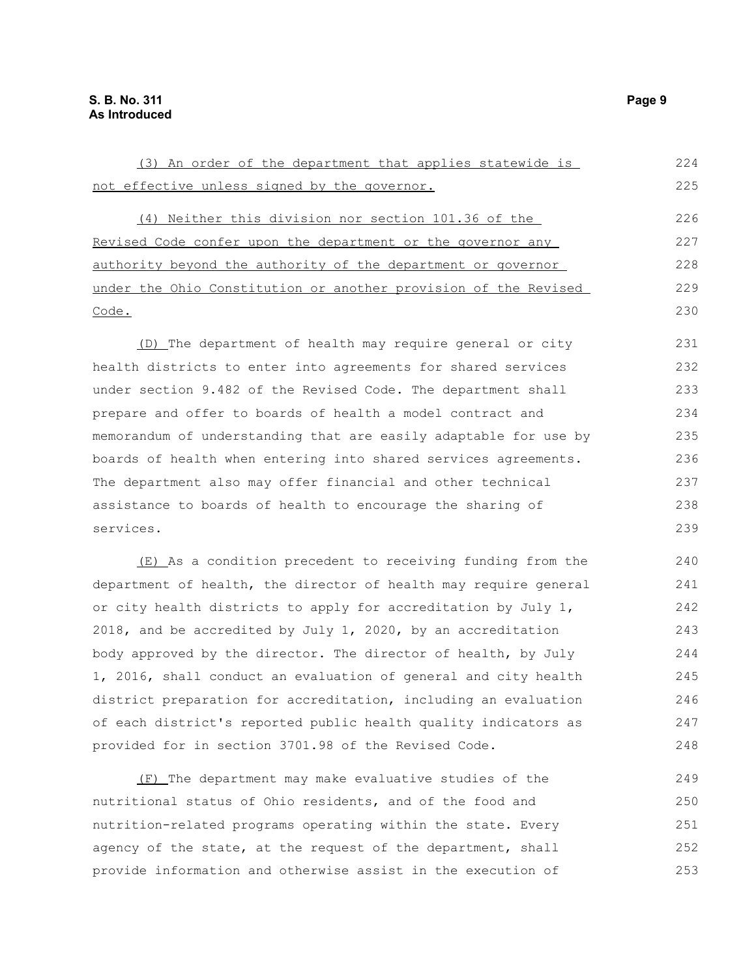(3) An order of the department that applies statewide is not effective unless signed by the governor. (4) Neither this division nor section 101.36 of the Revised Code confer upon the department or the governor any authority beyond the authority of the department or governor under the Ohio Constitution or another provision of the Revised Code. (D) The department of health may require general or city health districts to enter into agreements for shared services under section 9.482 of the Revised Code. The department shall prepare and offer to boards of health a model contract and memorandum of understanding that are easily adaptable for use by boards of health when entering into shared services agreements. The department also may offer financial and other technical assistance to boards of health to encourage the sharing of services. (E) As a condition precedent to receiving funding from the department of health, the director of health may require general or city health districts to apply for accreditation by July 1, 2018, and be accredited by July 1, 2020, by an accreditation body approved by the director. The director of health, by July 1, 2016, shall conduct an evaluation of general and city health district preparation for accreditation, including an evaluation of each district's reported public health quality indicators as provided for in section 3701.98 of the Revised Code. 224 225 226 227 228 229 230 231 232 233 234 235 236 237 238 239 240 241 242 243 244 245 246 247 248

(F) The department may make evaluative studies of the nutritional status of Ohio residents, and of the food and nutrition-related programs operating within the state. Every agency of the state, at the request of the department, shall provide information and otherwise assist in the execution of 249 250 251 252 253